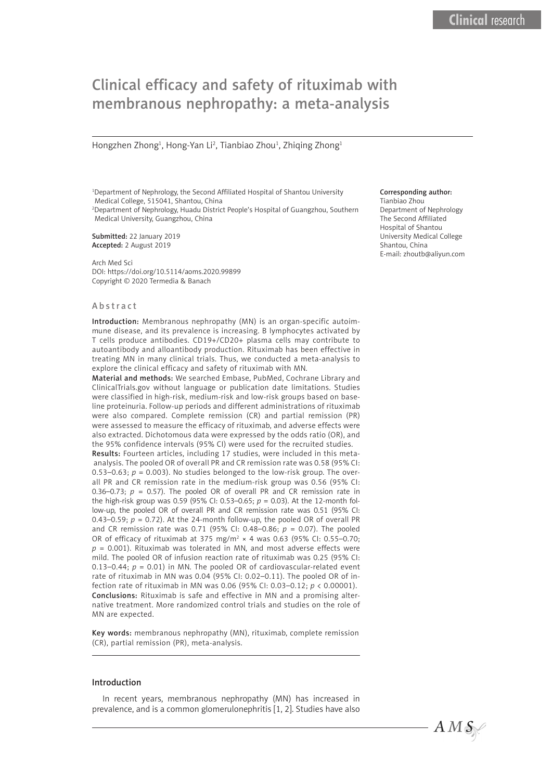# Clinical efficacy and safety of rituximab with membranous nephropathy: a meta-analysis

Hongzhen Zhong<sup>1</sup>, Hong-Yan Li<sup>2</sup>, Tianbiao Zhou<sup>1</sup>, Zhiqing Zhong<sup>1</sup>

1 Department of Nephrology, the Second Affiliated Hospital of Shantou University Medical College, 515041, Shantou, China

2 Department of Nephrology, Huadu District People's Hospital of Guangzhou, Southern Medical University, Guangzhou, China

Submitted: 22 January 2019 Accepted: 2 August 2019

Arch Med Sci DOI: https://doi.org/10.5114/aoms.2020.99899 Copyright © 2020 Termedia & Banach

#### Abstract

Introduction: Membranous nephropathy (MN) is an organ-specific autoimmune disease, and its prevalence is increasing. B lymphocytes activated by T cells produce antibodies. CD19+/CD20+ plasma cells may contribute to autoantibody and alloantibody production. Rituximab has been effective in treating MN in many clinical trials. Thus, we conducted a meta-analysis to explore the clinical efficacy and safety of rituximab with MN.

Material and methods: We searched Embase, PubMed, Cochrane Library and ClinicalTrials.gov without language or publication date limitations. Studies were classified in high-risk, medium-risk and low-risk groups based on baseline proteinuria. Follow-up periods and different administrations of rituximab were also compared. Complete remission (CR) and partial remission (PR) were assessed to measure the efficacy of rituximab, and adverse effects were also extracted. Dichotomous data were expressed by the odds ratio (OR), and the 95% confidence intervals (95% CI) were used for the recruited studies.

Results: Fourteen articles, including 17 studies, were included in this meta analysis. The pooled OR of overall PR and CR remission rate was 0.58 (95% CI: 0.53–0.63;  $p = 0.003$ ). No studies belonged to the low-risk group. The overall PR and CR remission rate in the medium-risk group was 0.56 (95% CI: 0.36–0.73;  $p = 0.57$ ). The pooled OR of overall PR and CR remission rate in the high-risk group was 0.59 (95% CI: 0.53–0.65; *p* = 0.03). At the 12-month follow-up, the pooled OR of overall PR and CR remission rate was 0.51 (95% CI: 0.43–0.59;  $p = 0.72$ ). At the 24-month follow-up, the pooled OR of overall PR and CR remission rate was 0.71 (95% CI: 0.48–0.86; *p* = 0.07). The pooled OR of efficacy of rituximab at 375 mg/m<sup>2</sup>  $\times$  4 was 0.63 (95% CI: 0.55–0.70;  $p = 0.001$ ). Rituximab was tolerated in MN, and most adverse effects were mild. The pooled OR of infusion reaction rate of rituximab was 0.25 (95% CI: 0.13–0.44; *p* = 0.01) in MN. The pooled OR of cardiovascular-related event rate of rituximab in MN was 0.04 (95% CI: 0.02–0.11). The pooled OR of infection rate of rituximab in MN was 0.06 (95% CI: 0.03–0.12; *p* < 0.00001). Conclusions: Rituximab is safe and effective in MN and a promising alternative treatment. More randomized control trials and studies on the role of MN are expected.

Key words: membranous nephropathy (MN), rituximab, complete remission (CR), partial remission (PR), meta-analysis.

#### Introduction

In recent years, membranous nephropathy (MN) has increased in prevalence, and is a common glomerulonephritis [1, 2]. Studies have also

### Corresponding author:

Tianbiao Zhou Department of Nephrology The Second Affiliated Hospital of Shantou University Medical College Shantou, China E-mail: zhoutb@aliyun.com

 $A M S$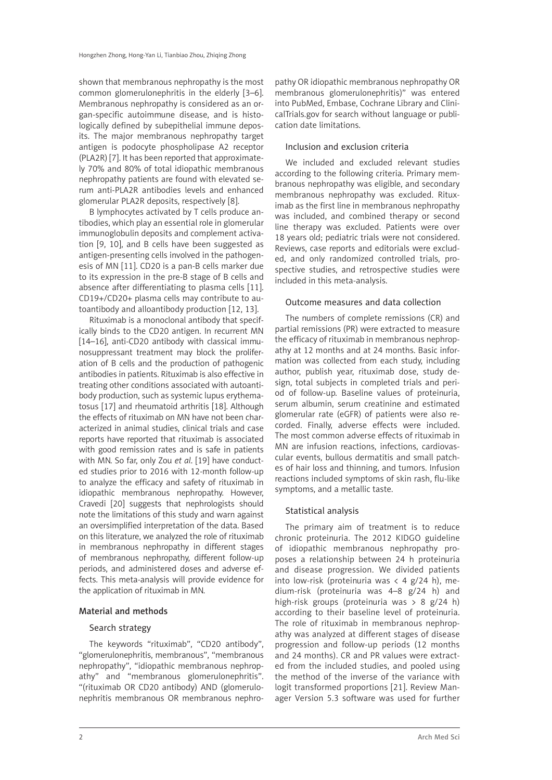shown that membranous nephropathy is the most common glomerulonephritis in the elderly [3–6]. Membranous nephropathy is considered as an organ-specific autoimmune disease, and is histologically defined by subepithelial immune deposits. The major membranous nephropathy target antigen is podocyte phospholipase A2 receptor (PLA2R) [7]. It has been reported that approximately 70% and 80% of total idiopathic membranous nephropathy patients are found with elevated serum anti-PLA2R antibodies levels and enhanced glomerular PLA2R deposits, respectively [8].

B lymphocytes activated by T cells produce antibodies, which play an essential role in glomerular immunoglobulin deposits and complement activation [9, 10], and B cells have been suggested as antigen-presenting cells involved in the pathogenesis of MN [11]. CD20 is a pan-B cells marker due to its expression in the pre-B stage of B cells and absence after differentiating to plasma cells [11]. CD19+/CD20+ plasma cells may contribute to autoantibody and alloantibody production [12, 13].

Rituximab is a monoclonal antibody that specifically binds to the CD20 antigen. In recurrent MN [14–16], anti-CD20 antibody with classical immunosuppressant treatment may block the proliferation of B cells and the production of pathogenic antibodies in patients. Rituximab is also effective in treating other conditions associated with autoantibody production, such as systemic lupus erythematosus [17] and rheumatoid arthritis [18]. Although the effects of rituximab on MN have not been characterized in animal studies, clinical trials and case reports have reported that rituximab is associated with good remission rates and is safe in patients with MN. So far, only Zou *et al*. [19] have conducted studies prior to 2016 with 12-month follow-up to analyze the efficacy and safety of rituximab in idiopathic membranous nephropathy. However, Cravedi [20] suggests that nephrologists should note the limitations of this study and warn against an oversimplified interpretation of the data. Based on this literature, we analyzed the role of rituximab in membranous nephropathy in different stages of membranous nephropathy, different follow-up periods, and administered doses and adverse effects. This meta-analysis will provide evidence for the application of rituximab in MN.

#### Material and methods

#### Search strategy

The keywords "rituximab", "CD20 antibody", "glomerulonephritis, membranous", "membranous nephropathy", "idiopathic membranous nephropathy" and "membranous glomerulonephritis". "(rituximab OR CD20 antibody) AND (glomerulonephritis membranous OR membranous nephro-

pathy OR idiopathic membranous nephropathy OR membranous glomerulonephritis)" was entered into PubMed, Embase, Cochrane Library and ClinicalTrials.gov for search without language or publication date limitations.

## Inclusion and exclusion criteria

We included and excluded relevant studies according to the following criteria. Primary membranous nephropathy was eligible, and secondary membranous nephropathy was excluded. Rituximab as the first line in membranous nephropathy was included, and combined therapy or second line therapy was excluded. Patients were over 18 years old; pediatric trials were not considered. Reviews, case reports and editorials were excluded, and only randomized controlled trials, prospective studies, and retrospective studies were included in this meta-analysis.

#### Outcome measures and data collection

The numbers of complete remissions (CR) and partial remissions (PR) were extracted to measure the efficacy of rituximab in membranous nephropathy at 12 months and at 24 months. Basic information was collected from each study, including author, publish year, rituximab dose, study design, total subjects in completed trials and period of follow-up. Baseline values of proteinuria, serum albumin, serum creatinine and estimated glomerular rate (eGFR) of patients were also recorded. Finally, adverse effects were included. The most common adverse effects of rituximab in MN are infusion reactions, infections, cardiovascular events, bullous dermatitis and small patches of hair loss and thinning, and tumors. Infusion reactions included symptoms of skin rash, flu-like symptoms, and a metallic taste.

## Statistical analysis

The primary aim of treatment is to reduce chronic proteinuria. The 2012 KIDGO guideline of idiopathic membranous nephropathy proposes a relationship between 24 h proteinuria and disease progression. We divided patients into low-risk (proteinuria was  $\langle 4 \rangle$  4/24 h), medium-risk (proteinuria was 4–8 g/24 h) and high-risk groups (proteinuria was > 8 g/24 h) according to their baseline level of proteinuria. The role of rituximab in membranous nephropathy was analyzed at different stages of disease progression and follow-up periods (12 months and 24 months). CR and PR values were extracted from the included studies, and pooled using the method of the inverse of the variance with logit transformed proportions [21]. Review Manager Version 5.3 software was used for further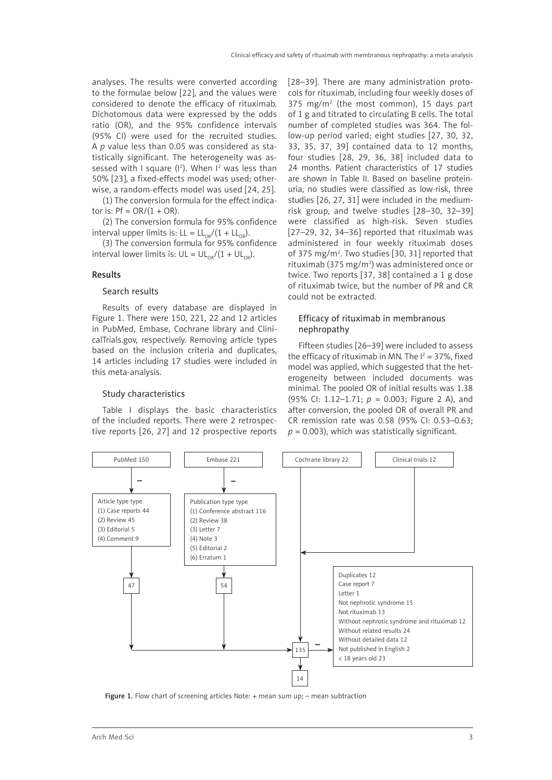analyses. The results were converted according to the formulae below [22], and the values were considered to denote the efficacy of rituximab. Dichotomous data were expressed by the odds ratio (OR), and the 95% confidence intervals (95% CI) were used for the recruited studies. A *p* value less than 0.05 was considered as statistically significant. The heterogeneity was assessed with I square  $(I^2)$ . When  $I^2$  was less than 50% [23], a fixed-effects model was used; otherwise, a random-effects model was used [24, 25].

(1) The conversion formula for the effect indicator is:  $Pf = OR/(1 + OR)$ .

(2) The conversion formula for 95% confidence interval upper limits is: LL =  $LL_{\text{OR}}/(1 + LL_{\text{OR}})$ .

(3) The conversion formula for 95% confidence interval lower limits is:  $UL = UL_{\text{on}}/(1 + UL_{\text{on}})$ .

#### Results

### Search results

Results of every database are displayed in Figure 1. There were 150, 221, 22 and 12 articles in PubMed, Embase, Cochrane library and ClinicalTrials.gov, respectively. Removing article types based on the inclusion criteria and duplicates, 14 articles including 17 studies were included in this meta-analysis.

## Study characteristics

Table I displays the basic characteristics of the included reports. There were 2 retrospective reports [26, 27] and 12 prospective reports [28–39]. There are many administration protocols for rituximab, including four weekly doses of 375 mg/m2 (the most common), 15 days part of 1 g and titrated to circulating B cells. The total number of completed studies was 364. The follow-up period varied; eight studies [27, 30, 32, 33, 35, 37, 39] contained data to 12 months, four studies [28, 29, 36, 38] included data to 24 months. Patient characteristics of 17 studies are shown in Table II. Based on baseline proteinuria, no studies were classified as low-risk, three studies [26, 27, 31] were included in the mediumrisk group, and twelve studies [28–30, 32–39] were classified as high-risk. Seven studies [27–29, 32, 34–36] reported that rituximab was administered in four weekly rituximab doses of 375 mg/m2 . Two studies [30, 31] reported that rituximab (375 mg/m2 ) was administered once or twice. Two reports [37, 38] contained a 1 g dose of rituximab twice, but the number of PR and CR could not be extracted.

## Efficacy of rituximab in membranous nephropathy

Fifteen studies [26–39] were included to assess the efficacy of rituximab in MN. The  $I^2 = 37\%$ , fixed model was applied, which suggested that the heterogeneity between included documents was minimal. The pooled OR of initial results was 1.38 (95% CI: 1.12–1.71; *p* = 0.003; Figure 2 A), and after conversion, the pooled OR of overall PR and CR remission rate was 0.58 (95% CI: 0.53–0.63;  $p = 0.003$ ), which was statistically significant.



Figure 1. Flow chart of screening articles Note: + mean sum up; – mean subtraction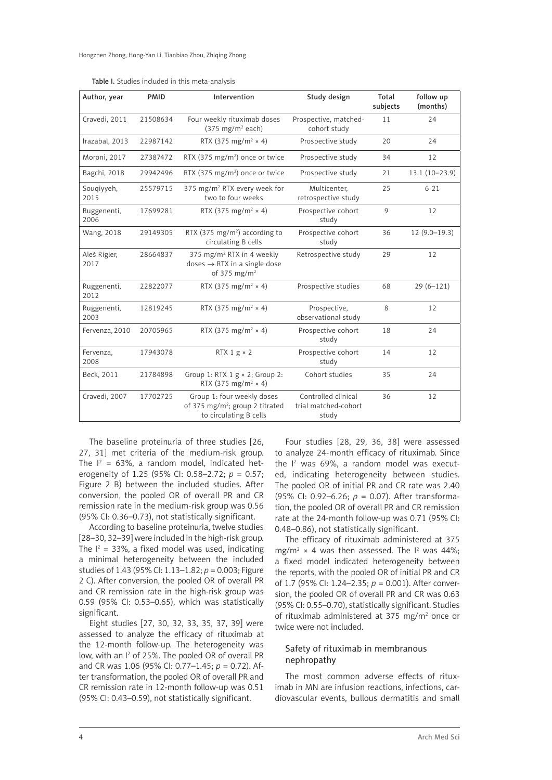| Author, year         | <b>PMID</b> | Intervention                                                                                                      | Study design                                         | Total<br>subjects | follow up<br>(months) |
|----------------------|-------------|-------------------------------------------------------------------------------------------------------------------|------------------------------------------------------|-------------------|-----------------------|
| Cravedi, 2011        | 21508634    | Four weekly rituximab doses<br>Prospective, matched-<br>11<br>$(375 \text{ mg/m}^2 \text{ each})$<br>cohort study |                                                      |                   | 24                    |
| Irazabal, 2013       | 22987142    | RTX (375 mg/m <sup>2</sup> $\times$ 4)                                                                            | Prospective study                                    | 20                | 24                    |
| Moroni, 2017         | 27387472    | Prospective study<br>RTX (375 mg/m <sup>2</sup> ) once or twice                                                   |                                                      | 34                | 12                    |
| Bagchi, 2018         | 29942496    | RTX (375 mg/m <sup>2</sup> ) once or twice<br>Prospective study                                                   |                                                      | 21                | $13.1(10-23.9)$       |
| Sougiyyeh,<br>2015   | 25579715    | Multicenter.<br>375 mg/m <sup>2</sup> RTX every week for<br>two to four weeks<br>retrospective study              |                                                      | 25                | $6 - 21$              |
| Ruggenenti,<br>2006  | 17699281    | RTX (375 mg/m <sup>2</sup> $\times$ 4)                                                                            | Prospective cohort<br>study                          | 9                 | 12                    |
| <b>Wang, 2018</b>    | 29149305    | RTX (375 mg/m <sup>2</sup> ) according to<br>Prospective cohort<br>circulating B cells<br>study                   |                                                      | 36                | $12(9.0-19.3)$        |
| Aleš Rigler,<br>2017 | 28664837    | 375 mg/m <sup>2</sup> RTX in 4 weekly<br>doses $\rightarrow$ RTX in a single dose<br>of 375 mg/m <sup>2</sup>     | Retrospective study                                  | 29                | 12                    |
| Ruggenenti,<br>2012  | 22822077    | RTX (375 mg/m <sup>2</sup> $\times$ 4)<br>Prospective studies                                                     |                                                      | 68                | $29(6-121)$           |
| Ruggenenti,<br>2003  | 12819245    | RTX (375 mg/m <sup>2</sup> $\times$ 4)                                                                            | Prospective,<br>8<br>observational study             |                   | 12                    |
| Fervenza, 2010       | 20705965    | RTX (375 mg/m <sup>2</sup> × 4)                                                                                   | Prospective cohort<br>study                          | 18                | 24                    |
| Fervenza,<br>2008    | 17943078    | RTX $1 g \times 2$                                                                                                | Prospective cohort<br>study                          | 14                | 12                    |
| Beck, 2011           | 21784898    | Group 1: RTX $1 g \times 2$ ; Group 2:<br>RTX (375 mg/m <sup>2</sup> $\times$ 4)                                  | Cohort studies                                       | 35                | 24                    |
| Cravedi, 2007        | 17702725    | Group 1: four weekly doses<br>of 375 mg/m <sup>2</sup> ; group 2 titrated<br>to circulating B cells               | Controlled clinical<br>trial matched-cohort<br>study | 36                | 12                    |

Table I. Studies included in this meta-analysis

The baseline proteinuria of three studies [26, 27, 31] met criteria of the medium-risk group. The  $I^2 = 63\%$ , a random model, indicated heterogeneity of 1.25 (95% CI: 0.58–2.72; *p* = 0.57; Figure 2 B) between the included studies. After conversion, the pooled OR of overall PR and CR remission rate in the medium-risk group was 0.56 (95% CI: 0.36–0.73), not statistically significant.

According to baseline proteinuria, twelve studies [28–30, 32–39] were included in the high-risk group. The  $I^2 = 33\%$ , a fixed model was used, indicating a minimal heterogeneity between the included studies of 1.43 (95% CI: 1.13–1.82; *p* = 0.003; Figure 2 C). After conversion, the pooled OR of overall PR and CR remission rate in the high-risk group was 0.59 (95% CI: 0.53–0.65), which was statistically significant.

Eight studies [27, 30, 32, 33, 35, 37, 39] were assessed to analyze the efficacy of rituximab at the 12-month follow-up. The heterogeneity was low, with an I<sup>2</sup> of 25%. The pooled OR of overall PR and CR was 1.06 (95% CI: 0.77–1.45; *p* = 0.72). After transformation, the pooled OR of overall PR and CR remission rate in 12-month follow-up was 0.51 (95% CI: 0.43–0.59), not statistically significant.

Four studies [28, 29, 36, 38] were assessed to analyze 24-month efficacy of rituximab. Since the I<sup>2</sup> was 69%, a random model was executed, indicating heterogeneity between studies. The pooled OR of initial PR and CR rate was 2.40 (95% CI: 0.92–6.26; *p* = 0.07). After transformation, the pooled OR of overall PR and CR remission rate at the 24-month follow-up was 0.71 (95% CI: 0.48–0.86), not statistically significant.

The efficacy of rituximab administered at 375 mg/m<sup>2</sup>  $\times$  4 was then assessed. The  $I^2$  was 44%; a fixed model indicated heterogeneity between the reports, with the pooled OR of initial PR and CR of 1.7 (95% CI: 1.24–2.35; *p* = 0.001). After conversion, the pooled OR of overall PR and CR was 0.63 (95% CI: 0.55–0.70), statistically significant. Studies of rituximab administered at 375 mg/m<sup>2</sup> once or twice were not included.

## Safety of rituximab in membranous nephropathy

The most common adverse effects of rituximab in MN are infusion reactions, infections, cardiovascular events, bullous dermatitis and small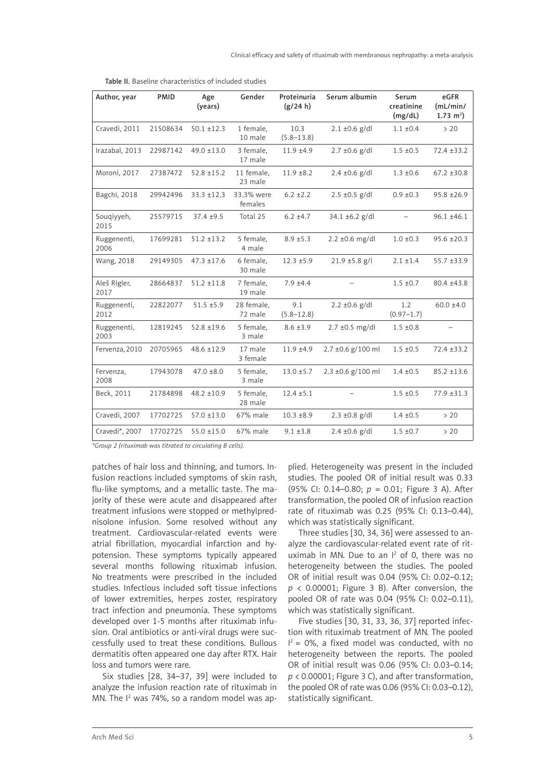| Author, year         | <b>PMID</b> | Age<br>(years)  | Gender                | Proteinuria<br>(g/24 h) | Serum albumin       | Serum<br>creatinine<br>(mg/dL) | eGFR<br>(mL/min/<br>$1.73 \text{ m}^2$ |
|----------------------|-------------|-----------------|-----------------------|-------------------------|---------------------|--------------------------------|----------------------------------------|
| Cravedi, 2011        | 21508634    | $50.1 \pm 12.3$ | 1 female,<br>10 male  | 10.3<br>$(5.8 - 13.8)$  | $2.1 \pm 0.6$ g/dl  | $1.1 \pm 0.4$                  | > 20                                   |
| Irazabal, 2013       | 22987142    | $49.0 \pm 13.0$ | 3 female,<br>17 male  | $11.9 + 4.9$            | $2.7 \pm 0.6$ g/dl  | $1.5 \pm 0.5$                  | $72.4 \pm 33.2$                        |
| Moroni, 2017         | 27387472    | $52.8 \pm 15.2$ | 11 female,<br>23 male | $11.9 + 8.2$            | $2.4 \pm 0.6$ g/dl  | $1.3 \pm 0.6$                  | $67.2 \pm 30.8$                        |
| Bagchi, 2018         | 29942496    | $33.3 \pm 12.3$ | 33.3% were<br>females | $6.2 \pm 2.2$           | $2.5 \pm 0.5$ g/dl  | $0.9 \pm 0.3$                  | $95.8 \pm 26.9$                        |
| Souqiyyeh,<br>2015   | 25579715    | $37.4 + 9.5$    | Total 25              | $6.2 \pm 4.7$           | 34.1 ±6.2 g/dl      |                                | $96.1 \pm 46.1$                        |
| Ruggenenti,<br>2006  | 17699281    | $51.2 \pm 13.2$ | 5 female,<br>4 male   | $8.9 \pm 5.3$           | $2.2 \pm 0.6$ mg/dl | $1.0 \pm 0.3$                  | $95.6 \pm 20.3$                        |
| <b>Wang, 2018</b>    | 29149305    | $47.3 \pm 17.6$ | 6 female,<br>30 male  | $12.3 + 5.9$            | $21.9 \pm 5.8$ g/l  | $2.1 \pm 1.4$                  | 55.7 ±33.9                             |
| Aleš Rigler,<br>2017 | 28664837    | $51.2 \pm 11.8$ | 7 female,<br>19 male  | $7.9 + 4.4$             |                     | $1.5 \pm 0.7$                  | 80.4 ±43.8                             |
| Ruggenenti,<br>2012  | 22822077    | $51.5 \pm 5.9$  | 28 female,<br>72 male | 9.1<br>$(5.8 - 12.8)$   | $2.2 \pm 0.6$ g/dl  | 1.2<br>$(0.97 - 1.7)$          | $60.0 \pm 4.0$                         |
| Ruggenenti,<br>2003  | 12819245    | $52.8 \pm 19.6$ | 5 female,<br>3 male   | $8.6 \pm 3.9$           | $2.7 \pm 0.5$ mg/dl | $1.5 \pm 0.8$                  |                                        |
| Fervenza, 2010       | 20705965    | 48.6 ±12.9      | 17 male<br>3 female   | $11.9 + 4.9$            | 2.7 ±0.6 g/100 ml   | $1.5 \pm 0.5$                  | 72.4 ±33.2                             |
| Fervenza,<br>2008    | 17943078    | $47.0 \pm 8.0$  | 5 female,<br>3 male   | $13.0 \pm 5.7$          | 2.3 ±0.6 g/100 ml   | $1.4 \pm 0.5$                  | $85.2 \pm 13.6$                        |
| Beck, 2011           | 21784898    | $48.2 \pm 10.9$ | 5 female,<br>28 male  | $12.4 \pm 5.1$          |                     | $1.5 \pm 0.5$                  | $77.9 \pm 31.3$                        |
| Cravedi, 2007        | 17702725    | $57.0 \pm 13.0$ | 67% male              | $10.3 + 8.9$            | $2.3 \pm 0.8$ g/dl  | $1.4 \pm 0.5$                  | > 20                                   |
| Cravedi*, 2007       | 17702725    | $55.0 \pm 15.0$ | 67% male              | $9.1 \pm 3.8$           | $2.4 \pm 0.6$ g/dl  | $1.5 \pm 0.7$                  | > 20                                   |

Table II. Baseline characteristics of included studies

*\*Group 2 (rituximab was titrated to circulating B cells).*

patches of hair loss and thinning, and tumors. Infusion reactions included symptoms of skin rash, flu-like symptoms, and a metallic taste. The majority of these were acute and disappeared after treatment infusions were stopped or methylprednisolone infusion. Some resolved without any treatment. Cardiovascular-related events were atrial fibrillation, myocardial infarction and hypotension. These symptoms typically appeared several months following rituximab infusion. No treatments were prescribed in the included studies. Infectious included soft tissue infections of lower extremities, herpes zoster, respiratory tract infection and pneumonia. These symptoms developed over 1-5 months after rituximab infusion. Oral antibiotics or anti-viral drugs were successfully used to treat these conditions. Bullous dermatitis often appeared one day after RTX. Hair loss and tumors were rare.

Six studies [28, 34–37, 39] were included to analyze the infusion reaction rate of rituximab in MN. The I<sup>2</sup> was 74%, so a random model was ap-

plied. Heterogeneity was present in the included studies. The pooled OR of initial result was 0.33 (95% CI: 0.14–0.80; *p* = 0.01; Figure 3 A). After transformation, the pooled OR of infusion reaction rate of rituximab was 0.25 (95% CI: 0.13–0.44), which was statistically significant.

Three studies [30, 34, 36] were assessed to analyze the cardiovascular-related event rate of rituximab in MN. Due to an  $I^2$  of 0, there was no heterogeneity between the studies. The pooled OR of initial result was 0.04 (95% CI: 0.02–0.12;  $p \lt 0.00001$ ; Figure 3 B). After conversion, the pooled OR of rate was 0.04 (95% CI: 0.02–0.11), which was statistically significant.

Five studies [30, 31, 33, 36, 37] reported infection with rituximab treatment of MN. The pooled  $I^2 = 0\%$ , a fixed model was conducted, with no heterogeneity between the reports. The pooled OR of initial result was 0.06 (95% CI: 0.03–0.14; *p* < 0.00001; Figure 3 C), and after transformation, the pooled OR of rate was 0.06 (95% CI: 0.03–0.12), statistically significant.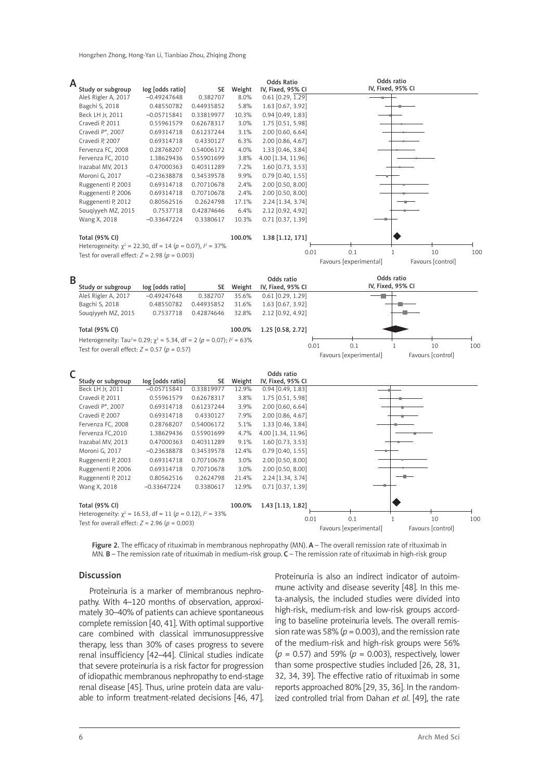Hongzhen Zhong, Hong-Yan Li, Tianbiao Zhou, Zhiqing Zhong

| A                                                  |                                                                                         |                         |            |                 | <b>Odds Ratio</b>               |                        | Odds ratio        |                   |     |
|----------------------------------------------------|-----------------------------------------------------------------------------------------|-------------------------|------------|-----------------|---------------------------------|------------------------|-------------------|-------------------|-----|
|                                                    | Study or subgroup                                                                       | log [odds ratio]        |            | SE Weight       | IV, Fixed, 95% CI               |                        | IV, Fixed, 95% CI |                   |     |
|                                                    | Aleš Rigler A, 2017                                                                     | $-0.49247648$           | 0.382707   | 8.0%            | $0.61$ [0.29, 1.29]             |                        |                   |                   |     |
|                                                    | Bagchi S, 2018                                                                          | 0.48550782              | 0.44935852 | 5.8%            | 1.63 [0.67, 3.92]               |                        |                   |                   |     |
|                                                    | Beck LH Jr, 2011                                                                        | $-0.05715841$           | 0.33819977 | 10.3%           | $0.94$ [0.49, 1.83]             |                        |                   |                   |     |
|                                                    | Cravedi P, 2011                                                                         | 0.55961579              | 0.62678317 | 3.0%            | 1.75 [0.51, 5.98]               |                        |                   |                   |     |
|                                                    | Cravedi P*, 2007                                                                        | 0.69314718              | 0.61237244 | 3.1%            | 2.00 [0.60, 6.64]               |                        |                   |                   |     |
|                                                    | Cravedi P, 2007                                                                         | 0.69314718              | 0.4330127  | 6.3%            | 2.00 [0.86, 4.67]               |                        |                   |                   |     |
|                                                    | Fervenza FC, 2008                                                                       | 0.28768207              | 0.54006172 | 4.0%            | 1.33 [0.46, 3.84]               |                        |                   |                   |     |
|                                                    | Fervenza FC, 2010                                                                       | 1.38629436              | 0.55901699 | 3.8%            | 4.00 [1.34, 11.96]              |                        |                   |                   |     |
|                                                    | Irazabal MV, 2013                                                                       | 0.47000363              | 0.40311289 | 7.2%            | $1.60$ [0.73, 3.53]             |                        |                   |                   |     |
|                                                    | Moroni G, 2017                                                                          | $-0.23638878$           | 0.34539578 | 9.9%            | $0.79$ [0.40, 1.55]             |                        |                   |                   |     |
|                                                    | Ruggenenti P, 2003                                                                      | 0.69314718              | 0.70710678 | 2.4%            | 2.00 [0.50, 8.00]               |                        |                   |                   |     |
|                                                    | Ruggenenti P, 2006                                                                      | 0.69314718              | 0.70710678 | 2.4%            | 2.00 [0.50, 8.00]               |                        |                   |                   |     |
|                                                    | Ruggenenti P, 2012                                                                      | 0.80562516              | 0.2624798  | 17.1%           | 2.24 [1.34, 3.74]               |                        |                   |                   |     |
|                                                    | Sougiyyeh MZ, 2015                                                                      | 0.7537718               | 0.42874646 | 6.4%            | 2.12 [0.92, 4.92]               |                        |                   |                   |     |
|                                                    | Wang X, 2018                                                                            | $-0.33647224$           | 0.3380617  | 10.3%           | $0.71$ [0.37, 1.39]             |                        |                   |                   |     |
|                                                    | Total (95% CI)                                                                          |                         |            | 100.0%          | 1.38 [1.12, 171]                |                        |                   |                   |     |
|                                                    | Heterogeneity: $\chi^2$ = 22.30, df = 14 (p = 0.07), $l^2$ = 37%                        |                         |            |                 |                                 |                        |                   |                   |     |
|                                                    | Test for overall effect: $Z = 2.98$ ( $p = 0.003$ )                                     |                         |            |                 | 0.01                            | 0.1                    | $\mathbf{1}$      | 10                | 100 |
|                                                    |                                                                                         |                         |            |                 |                                 | Favours [experimental] |                   | Favours [control] |     |
|                                                    |                                                                                         |                         |            |                 |                                 |                        | Odds ratio        |                   |     |
| B                                                  | Study or subgroup                                                                       | log [odds ratio]        | SE         |                 | Odds ratio<br>IV, Fixed, 95% CI |                        | IV, Fixed, 95% CI |                   |     |
|                                                    | Aleš Rigler A, 2017                                                                     | $-0.49247648$           | 0.382707   | Weight<br>35.6% | $0.61$ [0.29, 1.29]             |                        |                   |                   |     |
|                                                    | Bagchi S, 2018                                                                          |                         | 0.44935852 | 31.6%           | 1.63 [0.67, 3.92]               |                        |                   |                   |     |
|                                                    | Souqiyyeh MZ, 2015                                                                      | 0.48550782<br>0.7537718 | 0.42874646 | 32.8%           | 2.12 [0.92, 4.92]               |                        |                   |                   |     |
|                                                    |                                                                                         |                         |            |                 |                                 |                        |                   |                   |     |
|                                                    | Total (95% CI)                                                                          |                         |            | 100.0%          | 1.25 [0.58, 2.72]               |                        |                   |                   |     |
|                                                    | Heterogeneity: Tau <sup>2</sup> = 0.29; $\chi^2$ = 5.34, df = 2 (p = 0.07); $l^2$ = 63% |                         |            |                 |                                 |                        |                   |                   |     |
| Test for overall effect: $Z = 0.57$ ( $p = 0.57$ ) |                                                                                         |                         |            |                 | 0.1<br>0.01                     | 1                      | 10                | 100               |     |
|                                                    |                                                                                         |                         |            |                 |                                 | Favours [experimental] |                   | Favours [control] |     |
| C                                                  |                                                                                         |                         |            |                 | Odds ratio                      |                        |                   |                   |     |
|                                                    | Study or subgroup                                                                       | log [odds ratio]        | SE         | Weight          | IV, Fixed, 95% CI               |                        |                   |                   |     |
|                                                    | Beck LH Jr, 2011                                                                        | $-0.05715841$           | 0.33819977 | 12.9%           | $0.94$ [0.49, 1.83]             |                        |                   |                   |     |
|                                                    | Cravedi P, 2011                                                                         | 0.55961579              | 0.62678317 | 3.8%            | 1.75 [0.51, 5.98]               |                        |                   |                   |     |
|                                                    | Cravedi P*, 2007                                                                        | 0.69314718              | 0.61237244 | 3.9%            | 2.00 [0.60, 6.64]               |                        |                   |                   |     |
|                                                    | Cravedi P, 2007                                                                         | 0.69314718              | 0.4330127  | 7.9%            | 2.00 [0.86, 4.67]               |                        |                   |                   |     |
|                                                    | Fervenza FC, 2008                                                                       | 0.28768207              | 0.54006172 | 5.1%            | 1.33 [0.46, 3.84]               |                        |                   |                   |     |
|                                                    | Fervenza FC,2010                                                                        | 1.38629436              | 0.55901699 | 4.7%            | 4.00 [1.34, 11.96]              |                        |                   |                   |     |
|                                                    | Irazabal MV, 2013                                                                       | 0.47000363              | 0.40311289 | 9.1%            | 1.60 [0.73, 3.53]               |                        |                   |                   |     |
|                                                    | Moroni G, 2017                                                                          | $-0.23638878$           | 0.34539578 | 12.4%           | $0.79$ [0.40, 1.55]             |                        |                   |                   |     |
|                                                    | Ruggenenti P, 2003                                                                      | 0.69314718              | 0.70710678 | 3.0%            | 2.00 [0.50, 8.00]               |                        |                   |                   |     |
|                                                    | Ruggenenti P, 2006                                                                      | 0.69314718              | 0.70710678 | 3.0%            | 2.00 [0.50, 8.00]               |                        |                   |                   |     |
|                                                    | Ruggenenti P, 2012                                                                      | 0.80562516              | 0.2624798  | 21.4%           | $2.24$ [1.34, 3.74]             |                        |                   |                   |     |
|                                                    | Wang X, 2018                                                                            | $-0.33647224$           | 0.3380617  | 12.9%           | $0.71$ [0.37, 1.39]             |                        |                   |                   |     |
|                                                    |                                                                                         |                         |            |                 |                                 |                        |                   |                   |     |
|                                                    | Total (95% CI)                                                                          |                         |            | 100.0%          | 1.43 [1.13, 1.82]               |                        |                   |                   |     |
|                                                    | Heterogeneity: $\chi^2$ = 16.53, df = 11 (p = 0.12), $l^2$ = 33%                        |                         |            |                 | 0.01                            | 0.1                    | $\mathbf{1}$      | 10                | 100 |
|                                                    | Test for overall effect: $Z = 2.96$ ( $p = 0.003$ )                                     |                         |            |                 |                                 | Favours [experimental] |                   | Favours [control] |     |
|                                                    |                                                                                         |                         |            |                 |                                 |                        |                   |                   |     |

Figure 2. The efficacy of rituximab in membranous nephropathy (MN). A - The overall remission rate of rituximab in MN. **B** – The remission rate of rituximab in medium-risk group.  $C - Th$ e remission rate of rituximab in high-risk group

## Discussion

Proteinuria is a marker of membranous nephropathy. With 4–120 months of observation, approximately 30–40% of patients can achieve spontaneous complete remission [40, 41]. With optimal supportive care combined with classical immunosuppressive therapy, less than 30% of cases progress to severe renal insufficiency [42–44]. Clinical studies indicate that severe proteinuria is a risk factor for progression of idiopathic membranous nephropathy to end-stage renal disease [45]. Thus, urine protein data are valuable to inform treatment-related decisions [46, 47]. Proteinuria is also an indirect indicator of autoimmune activity and disease severity [48]. In this meta-analysis, the included studies were divided into high-risk, medium-risk and low-risk groups according to baseline proteinuria levels. The overall remission rate was 58% ( $p = 0.003$ ), and the remission rate of the medium-risk and high-risk groups were 56% (*p* = 0.57) and 59% (*p* = 0.003), respectively, lower than some prospective studies included [26, 28, 31, 32, 34, 39]. The effective ratio of rituximab in some reports approached 80% [29, 35, 36]. In the randomized controlled trial from Dahan *et al*. [49], the rate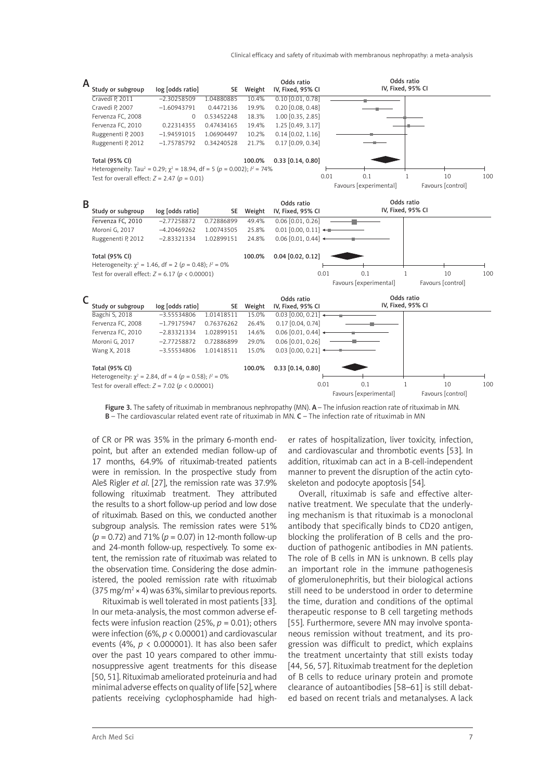Clinical efficacy and safety of rituximab with membranous nephropathy: a meta-analysis



Figure 3. The safety of rituximab in membranous nephropathy (MN). A - The infusion reaction rate of rituximab in MN. B – The cardiovascular related event rate of rituximab in MN. C – The infection rate of rituximab in MN

of CR or PR was 35% in the primary 6-month endpoint, but after an extended median follow-up of 17 months, 64.9% of rituximab-treated patients were in remission. In the prospective study from Aleš Rigler *et al*. [27], the remission rate was 37.9% following rituximab treatment. They attributed the results to a short follow-up period and low dose of rituximab. Based on this, we conducted another subgroup analysis. The remission rates were 51% (*p* = 0.72) and 71% (*p* = 0.07) in 12-month follow-up and 24-month follow-up, respectively. To some extent, the remission rate of rituximab was related to the observation time. Considering the dose administered, the pooled remission rate with rituximab  $(375 \text{ mg/m}^2 \times 4)$  was 63%, similar to previous reports.

Rituximab is well tolerated in most patients [33]. In our meta-analysis, the most common adverse effects were infusion reaction (25%,  $p = 0.01$ ); others were infection (6%, *p* < 0.00001) and cardiovascular events (4%, *p* < 0.000001). It has also been safer over the past 10 years compared to other immunosuppressive agent treatments for this disease [50, 51]. Rituximab ameliorated proteinuria and had minimal adverse effects on quality of life [52], where patients receiving cyclophosphamide had high-

er rates of hospitalization, liver toxicity, infection, and cardiovascular and thrombotic events [53]. In addition, rituximab can act in a B-cell-independent manner to prevent the disruption of the actin cytoskeleton and podocyte apoptosis [54].

Overall, rituximab is safe and effective alternative treatment. We speculate that the underlying mechanism is that rituximab is a monoclonal antibody that specifically binds to CD20 antigen, blocking the proliferation of B cells and the production of pathogenic antibodies in MN patients. The role of B cells in MN is unknown. B cells play an important role in the immune pathogenesis of glomerulonephritis, but their biological actions still need to be understood in order to determine the time, duration and conditions of the optimal therapeutic response to B cell targeting methods [55]. Furthermore, severe MN may involve spontaneous remission without treatment, and its progression was difficult to predict, which explains the treatment uncertainty that still exists today [44, 56, 57]. Rituximab treatment for the depletion of B cells to reduce urinary protein and promote clearance of autoantibodies [58–61] is still debated based on recent trials and metanalyses. A lack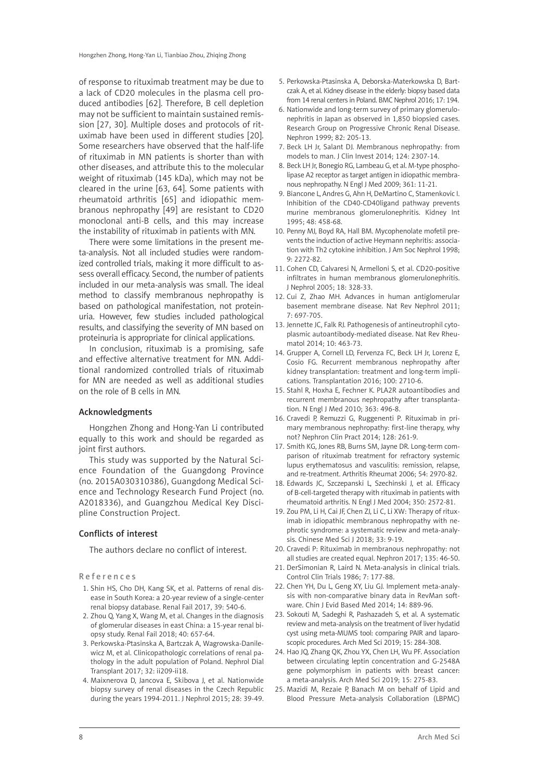of response to rituximab treatment may be due to a lack of CD20 molecules in the plasma cell produced antibodies [62]. Therefore, B cell depletion may not be sufficient to maintain sustained remission [27, 30]. Multiple doses and protocols of rituximab have been used in different studies [20]. Some researchers have observed that the half-life of rituximab in MN patients is shorter than with other diseases, and attribute this to the molecular weight of rituximab (145 kDa), which may not be cleared in the urine [63, 64]. Some patients with rheumatoid arthritis [65] and idiopathic membranous nephropathy [49] are resistant to CD20 monoclonal anti-B cells, and this may increase the instability of rituximab in patients with MN.

There were some limitations in the present meta-analysis. Not all included studies were randomized controlled trials, making it more difficult to assess overall efficacy. Second, the number of patients included in our meta-analysis was small. The ideal method to classify membranous nephropathy is based on pathological manifestation, not proteinuria. However, few studies included pathological results, and classifying the severity of MN based on proteinuria is appropriate for clinical applications.

In conclusion, rituximab is a promising, safe and effective alternative treatment for MN. Additional randomized controlled trials of rituximab for MN are needed as well as additional studies on the role of B cells in MN.

## Acknowledgments

Hongzhen Zhong and Hong-Yan Li contributed equally to this work and should be regarded as joint first authors.

This study was supported by the Natural Science Foundation of the Guangdong Province (no. 2015A030310386), Guangdong Medical Science and Technology Research Fund Project (no. A2018336), and Guangzhou Medical Key Discipline Construction Project.

## Conflicts of interest

The authors declare no conflict of interest.

References

- 1. Shin HS, Cho DH, Kang SK, et al. Patterns of renal disease in South Korea: a 20-year review of a single-center renal biopsy database. Renal Fail 2017, 39: 540-6.
- 2. Zhou Q, Yang X, Wang M, et al. Changes in the diagnosis of glomerular diseases in east China: a 15-year renal biopsy study. Renal Fail 2018; 40: 657-64.
- 3. Perkowska-Ptasinska A, Bartczak A, Wagrowska-Danilewicz M, et al. Clinicopathologic correlations of renal pathology in the adult population of Poland. Nephrol Dial Transplant 2017; 32: ii209-ii18.
- 4. Maixnerova D, Jancova E, Skibova J, et al. Nationwide biopsy survey of renal diseases in the Czech Republic during the years 1994-2011. J Nephrol 2015; 28: 39-49.
- 5. Perkowska-Ptasinska A, Deborska-Materkowska D, Bartczak A, et al. Kidney disease in the elderly: biopsy based data from 14 renal centers in Poland. BMC Nephrol 2016; 17: 194.
- 6. Nationwide and long-term survey of primary glomerulonephritis in Japan as observed in 1,850 biopsied cases. Research Group on Progressive Chronic Renal Disease. Nephron 1999; 82: 205-13.
- 7. Beck LH Jr, Salant DJ. Membranous nephropathy: from models to man. J Clin Invest 2014; 124: 2307-14.
- 8. Beck LH Jr, Bonegio RG, Lambeau G, et al. M-type phospholipase A2 receptor as target antigen in idiopathic membranous nephropathy. N Engl J Med 2009; 361: 11-21.
- 9. Biancone L, Andres G, Ahn H, DeMartino C, Stamenkovic I. Inhibition of the CD40-CD40ligand pathway prevents murine membranous glomerulonephritis. Kidney Int 1995; 48: 458-68.
- 10. Penny MJ, Boyd RA, Hall BM. Mycophenolate mofetil prevents the induction of active Heymann nephritis: association with Th2 cytokine inhibition. J Am Soc Nephrol 1998; 9: 2272-82.
- 11. Cohen CD, Calvaresi N, Armelloni S, et al. CD20-positive infiltrates in human membranous glomerulonephritis. J Nephrol 2005; 18: 328-33.
- 12. Cui Z, Zhao MH. Advances in human antiglomerular basement membrane disease. Nat Rev Nephrol 2011; 7: 697-705.
- 13. Jennette JC, Falk RJ. Pathogenesis of antineutrophil cytoplasmic autoantibody-mediated disease. Nat Rev Rheumatol 2014; 10: 463-73.
- 14. Grupper A, Cornell LD, Fervenza FC, Beck LH Jr, Lorenz E, Cosio FG. Recurrent membranous nephropathy after kidney transplantation: treatment and long-term implications. Transplantation 2016; 100: 2710-6.
- 15. Stahl R, Hoxha E, Fechner K. PLA2R autoantibodies and recurrent membranous nephropathy after transplantation. N Engl J Med 2010; 363: 496-8.
- 16. Cravedi P, Remuzzi G, Ruggenenti P. Rituximab in primary membranous nephropathy: first-line therapy, why not? Nephron Clin Pract 2014; 128: 261-9.
- 17. Smith KG, Jones RB, Burns SM, Jayne DR. Long-term comparison of rituximab treatment for refractory systemic lupus erythematosus and vasculitis: remission, relapse, and re-treatment. Arthritis Rheumat 2006; 54: 2970-82.
- 18. Edwards JC, Szczepanski L, Szechinski J, et al. Efficacy of B-cell-targeted therapy with rituximab in patients with rheumatoid arthritis. N Engl J Med 2004; 350: 2572-81.
- 19. Zou PM, Li H, Cai JF, Chen ZJ, Li C, Li XW: Therapy of rituximab in idiopathic membranous nephropathy with nephrotic syndrome: a systematic review and meta-analysis. Chinese Med Sci J 2018; 33: 9-19.
- 20. Cravedi P: Rituximab in membranous nephropathy: not all studies are created equal. Nephron 2017; 135: 46-50.
- 21. DerSimonian R, Laird N. Meta-analysis in clinical trials. Control Clin Trials 1986; 7: 177-88.
- 22. Chen YH, Du L, Geng XY, Liu GJ. Implement meta-analysis with non-comparative binary data in RevMan software. Chin J Evid Based Med 2014; 14: 889-96.
- 23. Sokouti M, Sadeghi R, Pashazadeh S, et al. A systematic review and meta-analysis on the treatment of liver hydatid cyst using meta-MUMS tool: comparing PAIR and laparoscopic procedures. Arch Med Sci 2019; 15: 284-308.
- 24. Hao JQ, Zhang QK, Zhou YX, Chen LH, Wu PF. Association between circulating leptin concentration and G-2548A gene polymorphism in patients with breast cancer: a meta-analysis. Arch Med Sci 2019; 15: 275-83.
- 25. Mazidi M, Rezaie P, Banach M on behalf of Lipid and Blood Pressure Meta-analysis Collaboration (LBPMC)